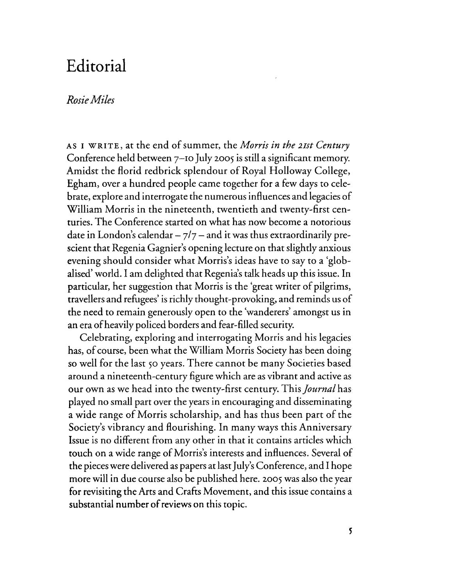## **Editorial**

## *RosieMiles*

AS I WRITE, at the end ofsummer, the *Morris in the ztst Century* Conference held between 7-10 July 2005 is still a significant memory. Amidst the florid redbrick splendour of Royal Holloway College, Egham, over a hundred people came together for a few days to celebrate, explore and interrogate the numerous influences and legaciesof William Morris in the nineteenth, twentieth and twenty-first centuries. The Conference started on what has now become a notorious date in London's calendar  $-\frac{7}{7}$  - and it was thus extraordinarily prescient that Regenia Gagnier's opening lecture on that slightly anxious evening should consider what Morris's ideas have to say to a 'globalised' world. I am delighted that Regenia's talk heads up this issue. In particular, her suggestion that Morris is the 'great writer of pilgrims, travellers and refugees' is richly thought-provoking, and reminds us of the need to remain generously open to the 'wanderers' amongst us in an era ofheavily policed borders and fear-filled security.

Celebrating, exploring and interrogating Morris and his legacies has, of course, been what the William Morris Society has been doing so well for the last 50 years. There cannot be many Societies based around a nineteenth-century figure which are as vibrant and active as our own as we head into the twenty-first century. This *Journal* has played no small part over the years in encouraging and disseminating a wide range of Morris scholarship, and has thus been part of the Society's vibrancy and flourishing. In many ways this Anniversary Issue is no different from any other in that it contains articles which touch on a wide range of Morris's interests and influences. Several of the pieces were delivered as papers at last July's Conference, and I hope more will in due course also be published here. 2005 was also the year for revisiting the Arts and Crafts Movement, and this issue contains a substantial number of reviews on this topic.